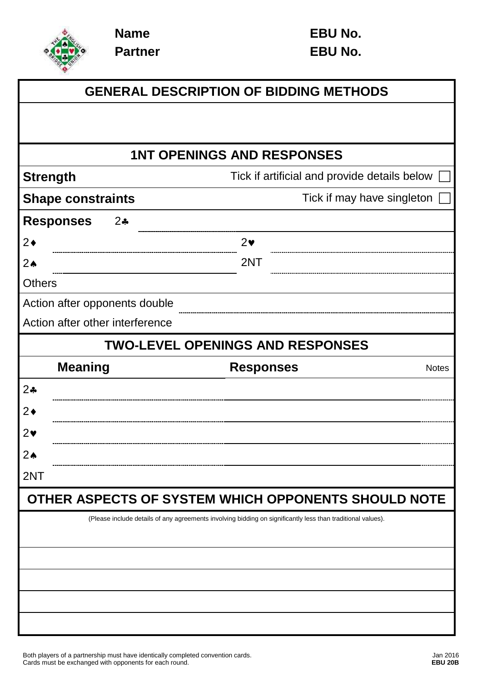

**Name Partner**

|                                  | <b>GENERAL DESCRIPTION OF BIDDING METHODS</b>                                                               |
|----------------------------------|-------------------------------------------------------------------------------------------------------------|
|                                  |                                                                                                             |
|                                  |                                                                                                             |
|                                  | <b>1NT OPENINGS AND RESPONSES</b>                                                                           |
| <b>Strength</b>                  | Tick if artificial and provide details below                                                                |
| <b>Shape constraints</b>         | Tick if may have singleton                                                                                  |
| <b>Responses</b><br>$2\clubsuit$ |                                                                                                             |
| $2\bullet$                       | $2\bullet$                                                                                                  |
| $2\spadesuit$                    | 2NT                                                                                                         |
| <b>Others</b>                    |                                                                                                             |
| Action after opponents double    |                                                                                                             |
| Action after other interference  |                                                                                                             |
|                                  | <b>TWO-LEVEL OPENINGS AND RESPONSES</b>                                                                     |
| <b>Meaning</b>                   | <b>Responses</b><br><b>Notes</b>                                                                            |
| 2 <sub>•</sub>                   |                                                                                                             |
| $2\bullet$                       |                                                                                                             |
| $2\bullet$                       |                                                                                                             |
| $2\spadesuit$                    |                                                                                                             |
| 2NT                              |                                                                                                             |
|                                  | OTHER ASPECTS OF SYSTEM WHICH OPPONENTS SHOULD NOTE                                                         |
|                                  | (Please include details of any agreements involving bidding on significantly less than traditional values). |
|                                  |                                                                                                             |
|                                  |                                                                                                             |
|                                  |                                                                                                             |
|                                  |                                                                                                             |
|                                  |                                                                                                             |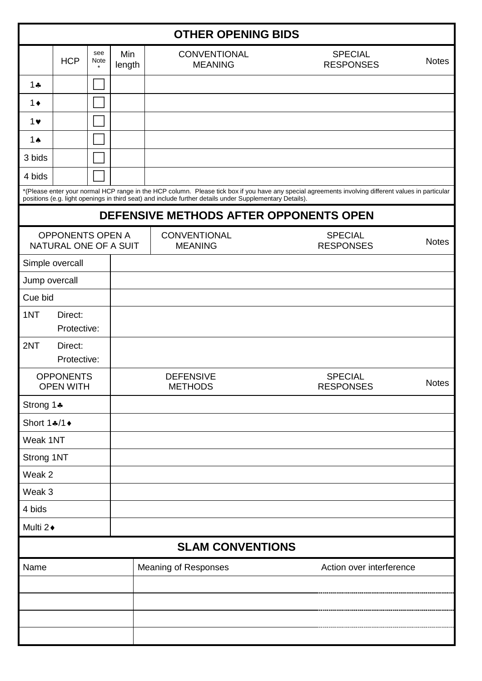| <b>OTHER OPENING BIDS</b>                        |                                                                                                                                                                                                                                                                |             |                                                                          |                                       |                                    |              |  |  |
|--------------------------------------------------|----------------------------------------------------------------------------------------------------------------------------------------------------------------------------------------------------------------------------------------------------------------|-------------|--------------------------------------------------------------------------|---------------------------------------|------------------------------------|--------------|--|--|
|                                                  | <b>HCP</b>                                                                                                                                                                                                                                                     | see<br>Note | Min<br><b>SPECIAL</b><br><b>CONVENTIONAL</b><br><b>MEANING</b><br>length |                                       | <b>RESPONSES</b>                   | <b>Notes</b> |  |  |
| $1 +$                                            |                                                                                                                                                                                                                                                                |             |                                                                          |                                       |                                    |              |  |  |
| $1 \bullet$                                      |                                                                                                                                                                                                                                                                |             |                                                                          |                                       |                                    |              |  |  |
| $1$ v                                            |                                                                                                                                                                                                                                                                |             |                                                                          |                                       |                                    |              |  |  |
| 1 $\triangle$                                    |                                                                                                                                                                                                                                                                |             |                                                                          |                                       |                                    |              |  |  |
| 3 bids                                           |                                                                                                                                                                                                                                                                |             |                                                                          |                                       |                                    |              |  |  |
| 4 bids                                           |                                                                                                                                                                                                                                                                |             |                                                                          |                                       |                                    |              |  |  |
|                                                  | *(Please enter your normal HCP range in the HCP column. Please tick box if you have any special agreements involving different values in particular<br>positions (e.g. light openings in third seat) and include further details under Supplementary Details). |             |                                                                          |                                       |                                    |              |  |  |
| DEFENSIVE METHODS AFTER OPPONENTS OPEN           |                                                                                                                                                                                                                                                                |             |                                                                          |                                       |                                    |              |  |  |
| <b>OPPONENTS OPEN A</b><br>NATURAL ONE OF A SUIT |                                                                                                                                                                                                                                                                |             |                                                                          | <b>CONVENTIONAL</b><br><b>MEANING</b> | <b>SPECIAL</b><br><b>RESPONSES</b> | <b>Notes</b> |  |  |
|                                                  | Simple overcall                                                                                                                                                                                                                                                |             |                                                                          |                                       |                                    |              |  |  |
| Jump overcall                                    |                                                                                                                                                                                                                                                                |             |                                                                          |                                       |                                    |              |  |  |
| Cue bid                                          |                                                                                                                                                                                                                                                                |             |                                                                          |                                       |                                    |              |  |  |
| 1NT                                              | Direct:<br>Protective:                                                                                                                                                                                                                                         |             |                                                                          |                                       |                                    |              |  |  |
| 2NT                                              | Direct:<br>Protective:                                                                                                                                                                                                                                         |             |                                                                          |                                       |                                    |              |  |  |
|                                                  | <b>OPPONENTS</b><br><b>OPEN WITH</b>                                                                                                                                                                                                                           |             |                                                                          | <b>DEFENSIVE</b><br><b>METHODS</b>    | <b>SPECIAL</b><br><b>RESPONSES</b> | <b>Notes</b> |  |  |
| Strong 1+                                        |                                                                                                                                                                                                                                                                |             |                                                                          |                                       |                                    |              |  |  |
| Short 1.4/1+                                     |                                                                                                                                                                                                                                                                |             |                                                                          |                                       |                                    |              |  |  |
| Weak 1NT                                         |                                                                                                                                                                                                                                                                |             |                                                                          |                                       |                                    |              |  |  |
| Strong 1NT                                       |                                                                                                                                                                                                                                                                |             |                                                                          |                                       |                                    |              |  |  |
| Weak 2                                           |                                                                                                                                                                                                                                                                |             |                                                                          |                                       |                                    |              |  |  |
| Weak 3                                           |                                                                                                                                                                                                                                                                |             |                                                                          |                                       |                                    |              |  |  |
| 4 bids                                           |                                                                                                                                                                                                                                                                |             |                                                                          |                                       |                                    |              |  |  |
| Multi 2+                                         |                                                                                                                                                                                                                                                                |             |                                                                          |                                       |                                    |              |  |  |
|                                                  |                                                                                                                                                                                                                                                                |             |                                                                          | <b>SLAM CONVENTIONS</b>               |                                    |              |  |  |
| Name                                             |                                                                                                                                                                                                                                                                |             | <b>Meaning of Responses</b>                                              | Action over interference              |                                    |              |  |  |
|                                                  |                                                                                                                                                                                                                                                                |             |                                                                          |                                       |                                    |              |  |  |
|                                                  |                                                                                                                                                                                                                                                                |             |                                                                          |                                       |                                    |              |  |  |
|                                                  |                                                                                                                                                                                                                                                                |             |                                                                          |                                       |                                    |              |  |  |
|                                                  |                                                                                                                                                                                                                                                                |             |                                                                          |                                       |                                    |              |  |  |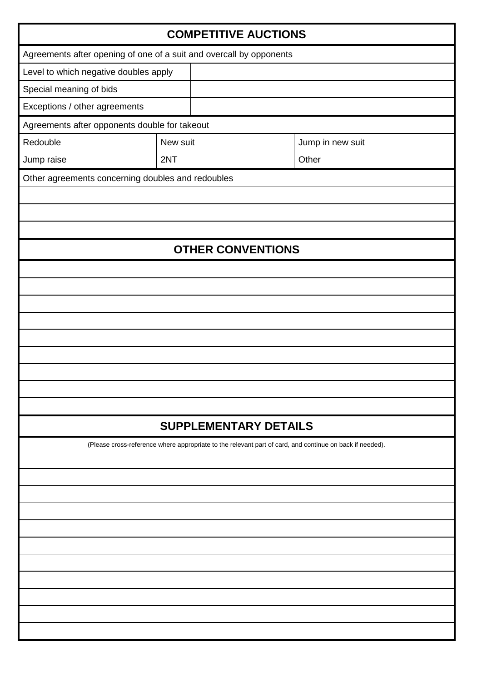| <b>COMPETITIVE AUCTIONS</b>                                         |          |                              |                                                                                                          |  |  |  |  |
|---------------------------------------------------------------------|----------|------------------------------|----------------------------------------------------------------------------------------------------------|--|--|--|--|
| Agreements after opening of one of a suit and overcall by opponents |          |                              |                                                                                                          |  |  |  |  |
| Level to which negative doubles apply                               |          |                              |                                                                                                          |  |  |  |  |
| Special meaning of bids                                             |          |                              |                                                                                                          |  |  |  |  |
| Exceptions / other agreements                                       |          |                              |                                                                                                          |  |  |  |  |
| Agreements after opponents double for takeout                       |          |                              |                                                                                                          |  |  |  |  |
| Redouble                                                            | New suit | Jump in new suit             |                                                                                                          |  |  |  |  |
| Jump raise                                                          | 2NT      |                              |                                                                                                          |  |  |  |  |
| Other agreements concerning doubles and redoubles                   |          |                              |                                                                                                          |  |  |  |  |
|                                                                     |          |                              |                                                                                                          |  |  |  |  |
|                                                                     |          |                              |                                                                                                          |  |  |  |  |
|                                                                     |          |                              |                                                                                                          |  |  |  |  |
|                                                                     |          | <b>OTHER CONVENTIONS</b>     |                                                                                                          |  |  |  |  |
|                                                                     |          |                              |                                                                                                          |  |  |  |  |
|                                                                     |          |                              |                                                                                                          |  |  |  |  |
|                                                                     |          |                              |                                                                                                          |  |  |  |  |
|                                                                     |          |                              |                                                                                                          |  |  |  |  |
|                                                                     |          |                              |                                                                                                          |  |  |  |  |
|                                                                     |          |                              |                                                                                                          |  |  |  |  |
|                                                                     |          |                              |                                                                                                          |  |  |  |  |
|                                                                     |          |                              |                                                                                                          |  |  |  |  |
|                                                                     |          |                              |                                                                                                          |  |  |  |  |
|                                                                     |          | <b>SUPPLEMENTARY DETAILS</b> |                                                                                                          |  |  |  |  |
|                                                                     |          |                              | (Please cross-reference where appropriate to the relevant part of card, and continue on back if needed). |  |  |  |  |
|                                                                     |          |                              |                                                                                                          |  |  |  |  |
|                                                                     |          |                              |                                                                                                          |  |  |  |  |
|                                                                     |          |                              |                                                                                                          |  |  |  |  |
|                                                                     |          |                              |                                                                                                          |  |  |  |  |
|                                                                     |          |                              |                                                                                                          |  |  |  |  |
|                                                                     |          |                              |                                                                                                          |  |  |  |  |
|                                                                     |          |                              |                                                                                                          |  |  |  |  |
|                                                                     |          |                              |                                                                                                          |  |  |  |  |
|                                                                     |          |                              |                                                                                                          |  |  |  |  |
|                                                                     |          |                              |                                                                                                          |  |  |  |  |
|                                                                     |          |                              |                                                                                                          |  |  |  |  |